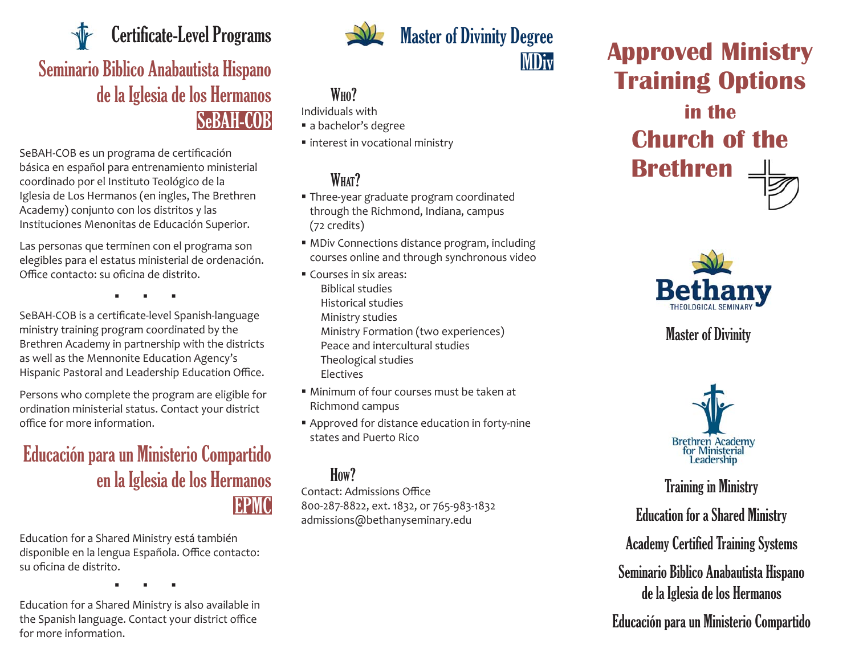Seminario Biblico Anabautista Hispano de la Iglesia de los Hermanos SeBAH-COB Certificate-Level Programs

SeBAH-COB es un programa de certi fi cación básica en español para entrenamiento ministerial coordinado por el Instituto Teológico de la Iglesia de Los Hermanos (en ingles, The Brethren Academy) conjunto con los distritos y las Instituciones Menonitas de Educación Superior.

Las personas que terminen con el programa son elegibles para el estatus ministerial de ordenación. Office contacto: su oficina de distrito.

. . .

SeBAH-COB is a certi fi cate-level Spanish-language ministry training program coordinated by the Brethren Academy in partnership with the districts as well as the Mennonite Education Agency's Hispanic Pastoral and Leadership Education Office.

Persons who complete the program are eligible for ordination ministerial status. Contact your district office for more information.

# Educación para un Ministerio Compartido en la Iglesia de los Hermanos EPMC

Education for a Shared Ministry está también disponible en la lengua Española. Office contacto: su oficina de distrito**.** 

. . .

Education for a Shared Ministry is also available in the Spanish language. Contact your district o ffi ce for more information.



## Master of Divinity Degree MDiv

#### W<sub>HO</sub>?

Individuals with

- a bachelor's degree
- interest in vocational ministry

## WHAT?

- Three-year graduate program coordinated through the Richmond, Indiana, campus (72 credits)
- MDiv Connections distance program, including courses online and through synchronous video
- Courses in six areas: Biblical studies Historical studies Ministry studies Ministry Formation (two experiences) Peace and intercultural studies Theological studies Electives
- Minimum of four courses must be taken at Richmond campus
- Approved for distance education in forty-nine states and Puerto Rico

#### How?

Contact: Admissions Office 800-287-8822, ext. 1832, or 765-983-1832 admissions@bethanyseminary.edu





## Master of Divinity



Training in Ministry Education for a Shared Ministry Academy Certified Training Systems Seminario Biblico Anabautista Hispano de la Iglesia de los Hermanos

#### Educación para un Ministerio Compartido